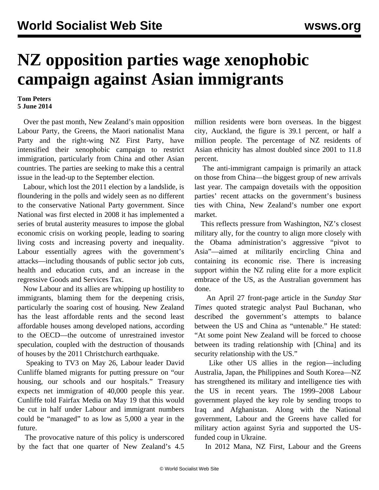## **NZ opposition parties wage xenophobic campaign against Asian immigrants**

## **Tom Peters 5 June 2014**

 Over the past month, New Zealand's main opposition Labour Party, the Greens, the Maori nationalist Mana Party and the right-wing NZ First Party, have intensified their xenophobic campaign to restrict immigration, particularly from China and other Asian countries. The parties are seeking to make this a central issue in the lead-up to the September election.

 Labour, which lost the 2011 election by a landslide, is floundering in the polls and widely seen as no different to the conservative National Party government. Since National was first elected in 2008 it has implemented a series of brutal austerity measures to impose the global economic crisis on working people, leading to soaring living costs and increasing poverty and inequality. Labour essentially agrees with the government's attacks—including thousands of public sector job cuts, health and education cuts, and an increase in the regressive Goods and Services Tax.

 Now Labour and its allies are whipping up hostility to immigrants, blaming them for the deepening crisis, particularly the soaring cost of housing. New Zealand has the least affordable rents and the second least affordable houses among developed nations, according to the OECD—the outcome of unrestrained investor speculation, coupled with the destruction of thousands of houses by the 2011 Christchurch earthquake.

 Speaking to TV3 on May 26, Labour leader David Cunliffe blamed migrants for putting pressure on "our housing, our schools and our hospitals." Treasury expects net immigration of 40,000 people this year. Cunliffe told Fairfax Media on May 19 that this would be cut in half under Labour and immigrant numbers could be "managed" to as low as 5,000 a year in the future.

 The provocative nature of this policy is underscored by the fact that one quarter of New Zealand's 4.5 million residents were born overseas. In the biggest city, Auckland, the figure is 39.1 percent, or half a million people. The percentage of NZ residents of Asian ethnicity has almost doubled since 2001 to 11.8 percent.

 The anti-immigrant campaign is primarily an attack on those from China—the biggest group of new arrivals last year. The campaign dovetails with the opposition parties' recent attacks on the government's business ties with China, New Zealand's number one export market.

 This reflects pressure from Washington, NZ's closest military ally, for the country to align more closely with the Obama administration's aggressive "pivot to Asia"—aimed at militarily encircling China and containing its economic rise. There is increasing support within the NZ ruling elite for a more explicit embrace of the US, as the Australian government has done.

 An April 27 front-page article in the *Sunday Star Times* quoted strategic analyst Paul Buchanan, who described the government's attempts to balance between the US and China as "untenable." He stated: "At some point New Zealand will be forced to choose between its trading relationship with [China] and its security relationship with the US."

 Like other US allies in the region—including Australia, Japan, the Philippines and South Korea—NZ has strengthened its military and intelligence ties with the US in recent years. The 1999–2008 Labour government played the key role by sending troops to Iraq and Afghanistan. Along with the National government, Labour and the Greens have called for military action against Syria and supported the USfunded coup in Ukraine.

In 2012 Mana, NZ First, Labour and the Greens